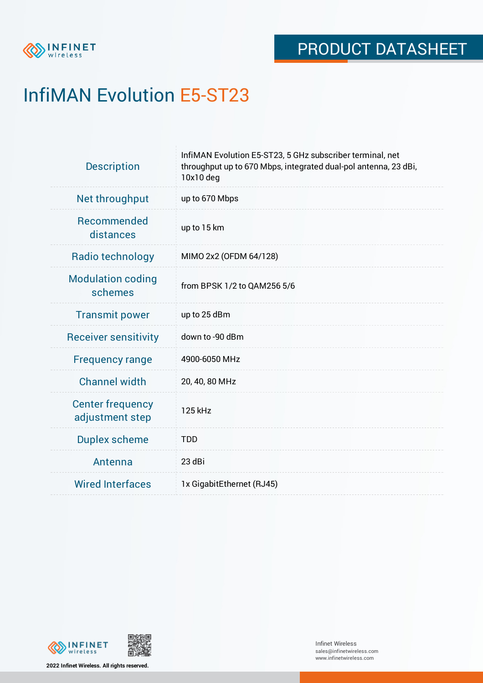

# InfiMAN Evolution E5-ST23

| <b>Description</b>                         | InfiMAN Evolution E5-ST23, 5 GHz subscriber terminal, net<br>throughput up to 670 Mbps, integrated dual-pol antenna, 23 dBi,<br>10x10 deg |  |  |
|--------------------------------------------|-------------------------------------------------------------------------------------------------------------------------------------------|--|--|
| Net throughput                             | up to 670 Mbps                                                                                                                            |  |  |
| Recommended<br>distances                   | up to 15 km                                                                                                                               |  |  |
| Radio technology                           | MIMO 2x2 (OFDM 64/128)                                                                                                                    |  |  |
| <b>Modulation coding</b><br>schemes        | from BPSK 1/2 to QAM256 5/6                                                                                                               |  |  |
| <b>Transmit power</b>                      | up to 25 dBm                                                                                                                              |  |  |
| <b>Receiver sensitivity</b>                | down to -90 dBm                                                                                                                           |  |  |
| <b>Frequency range</b>                     | 4900-6050 MHz                                                                                                                             |  |  |
| <b>Channel width</b>                       | 20, 40, 80 MHz                                                                                                                            |  |  |
| <b>Center frequency</b><br>adjustment step | 125 kHz                                                                                                                                   |  |  |
| <b>Duplex scheme</b>                       | <b>TDD</b>                                                                                                                                |  |  |
| Antenna                                    | 23 dBi                                                                                                                                    |  |  |
| <b>Wired Interfaces</b>                    | 1x GigabitEthernet (RJ45)                                                                                                                 |  |  |



**2022 Infinet Wireless. All rights reserved.**

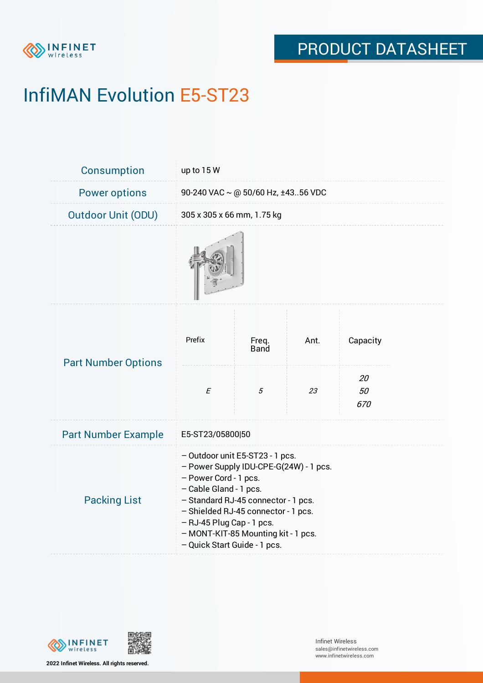

# InfiMAN Evolution E5-ST23

| Consumption                | up to 15 W                                                                                                                                                                                                                                                                                                     |                      |      |                |  |  |
|----------------------------|----------------------------------------------------------------------------------------------------------------------------------------------------------------------------------------------------------------------------------------------------------------------------------------------------------------|----------------------|------|----------------|--|--|
| <b>Power options</b>       | 90-240 VAC ~ @ 50/60 Hz, ±4356 VDC                                                                                                                                                                                                                                                                             |                      |      |                |  |  |
| <b>Outdoor Unit (ODU)</b>  | 305 x 305 x 66 mm, 1.75 kg                                                                                                                                                                                                                                                                                     |                      |      |                |  |  |
|                            |                                                                                                                                                                                                                                                                                                                |                      |      |                |  |  |
| <b>Part Number Options</b> | Prefix                                                                                                                                                                                                                                                                                                         | Freq.<br><b>Band</b> | Ant. | Capacity<br>20 |  |  |
|                            | $\cal E$                                                                                                                                                                                                                                                                                                       | 5                    | 23   | 50<br>670      |  |  |
| <b>Part Number Example</b> | E5-ST23/05800 50                                                                                                                                                                                                                                                                                               |                      |      |                |  |  |
| <b>Packing List</b>        | - Outdoor unit E5-ST23 - 1 pcs.<br>- Power Supply IDU-CPE-G(24W) - 1 pcs.<br>- Power Cord - 1 pcs.<br>- Cable Gland - 1 pcs.<br>- Standard RJ-45 connector - 1 pcs.<br>- Shielded RJ-45 connector - 1 pcs.<br>- RJ-45 Plug Cap - 1 pcs.<br>- MONT-KIT-85 Mounting kit - 1 pcs.<br>- Quick Start Guide - 1 pcs. |                      |      |                |  |  |

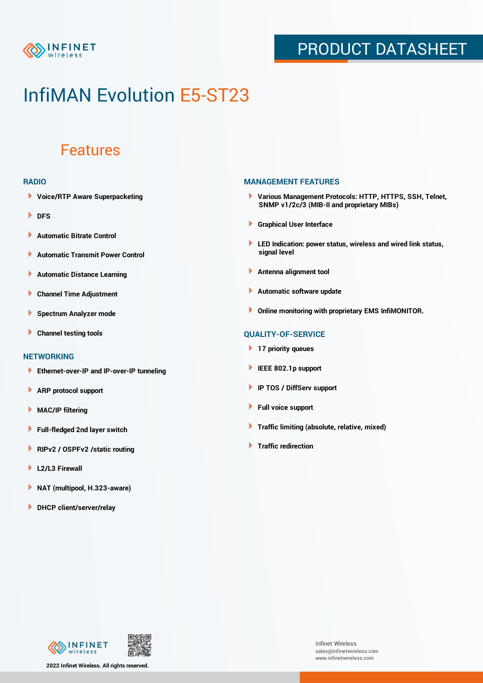

### PRODUCT DATASHEET

## InfiMAN Evolution E5-ST23

### Features

#### **RADIO**

- **Voice/RTP Aware Superpacketing**
- **DFS**
- **Automatic Bitrate Control** Þ
- Þ **Automatic Transmit Power Control**
- Þ **Automatic Distance Learning**
- Þ **Channel Time Adjustment**
- Þ **Spectrum Analyzer mode**
- Þ **Channel testing tools**

### **NETWORKING**

- **Ethernet-over-IP and IP-over-IP tunneling**
- Þ **ARP protocol support**
- **MAC/IP filtering** Þ
- **Full-fledged 2nd layer switch**
- Þ **RIPv2 / OSPFv2 /static routing**
- ٠ **L2/L3 Firewall**
- × **NAT (multipool, H.323-aware)**
- **DHCP client/server/relay**

#### **MANAGEMENT FEATURES**

- **Various Management Protocols: HTTP, HTTPS, SSH, Telnet, SNMP v1/2c/3 (MIB-II and proprietary MIBs)**
- **Graphical User Interface**
- **LED Indication: power status, wireless and wired link status, signal level**
- **Antenna alignment tool**
- ٠ **Automatic software update**
- **Online monitoring with proprietary EMS InfiMONITOR.**

### **QUALITY-OF-SERVICE**

- **17 priority queues**
- **IEEE 802.1p support**
- **IP TOS / DiffServ support**
- ٠ **Full voice support**
- **Traffic limiting (absolute, relative, mixed)** ٠
- **Traffic redirection**



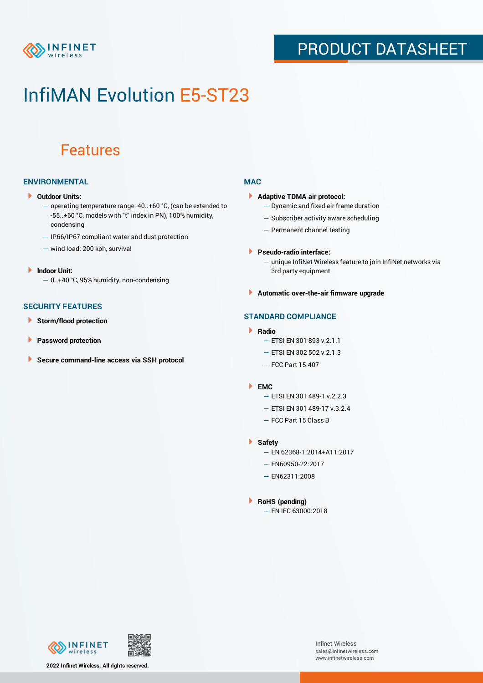

### PRODUCT DATASHEET

## InfiMAN Evolution E5-ST23

### Features

### **ENVIRONMENTAL**

- **Outdoor Units:**
	- operating temperature range -40..+60 °C, (can be extended to -55..+60 °С, models with "t" index in PN), 100% humidity, condensing
	- IP66/IP67 compliant water and dust protection
	- wind load: 200 kph, survival
- **Indoor Unit:**
	- 0..+40 °C, 95% humidity, non-condensing

### **SECURITY FEATURES**

- Þ **Storm/flood protection**
- ۱ **Password protection**
- **Secure command-line access via SSH protocol** Þ

#### **MAC**

- **Adaptive TDMA air protocol:**
	- Dynamic and fixed air frame duration
	- Subscriber activity aware scheduling
	- Permanent channel testing
- **Pseudo-radio interface:**
	- unique InfiNet Wireless feature to join InfiNet networks via 3rd party equipment
- **Automatic over-the-air firmware upgrade**

### **STANDARD COMPLIANCE**

- **Radio**
	- ETSI EN 301 893 v.2.1.1
	- ETSI EN 302 502 v.2.1.3
	- FCC Part 15.407

#### **EMC**

- ETSI EN 301 489-1 v.2.2.3
	- ETSI EN 301 489-17 v.3.2.4
	- FCC Part 15 Class B
- **Safety**
	- EN 62368-1:2014+A11:2017
	- EN60950-22:2017
	- EN62311:2008
- **RoHS (pending)**
	- EN IEC 63000:2018